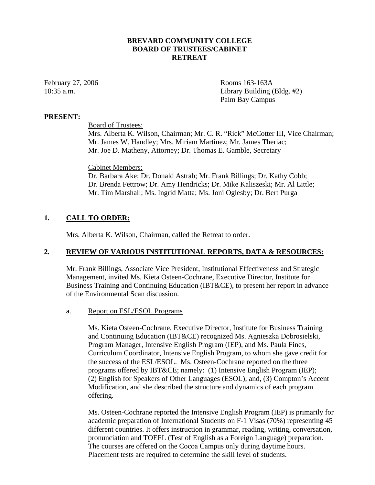# **BREVARD COMMUNITY COLLEGE BOARD OF TRUSTEES/CABINET RETREAT**

February 27, 2006 Rooms 163-163A 10:35 a.m. Library Building (Bldg. #2) Palm Bay Campus

#### **PRESENT:**

Board of Trustees:

Mrs. Alberta K. Wilson, Chairman; Mr. C. R. "Rick" McCotter III, Vice Chairman; Mr. James W. Handley; Mrs. Miriam Martinez; Mr. James Theriac; Mr. Joe D. Matheny, Attorney; Dr. Thomas E. Gamble, Secretary

# Cabinet Members:

Dr. Barbara Ake; Dr. Donald Astrab; Mr. Frank Billings; Dr. Kathy Cobb; Dr. Brenda Fettrow; Dr. Amy Hendricks; Dr. Mike Kaliszeski; Mr. Al Little; Mr. Tim Marshall; Ms. Ingrid Matta; Ms. Joni Oglesby; Dr. Bert Purga

# **1. CALL TO ORDER:**

Mrs. Alberta K. Wilson, Chairman, called the Retreat to order.

#### **2. REVIEW OF VARIOUS INSTITUTIONAL REPORTS, DATA & RESOURCES:**

Mr. Frank Billings, Associate Vice President, Institutional Effectiveness and Strategic Management, invited Ms. Kieta Osteen-Cochrane, Executive Director, Institute for Business Training and Continuing Education (IBT&CE), to present her report in advance of the Environmental Scan discussion.

#### a. Report on ESL/ESOL Programs

Ms. Kieta Osteen-Cochrane, Executive Director, Institute for Business Training and Continuing Education (IBT&CE) recognized Ms. Agnieszka Dobrosielski, Program Manager, Intensive English Program (IEP), and Ms. Paula Fines, Curriculum Coordinator, Intensive English Program, to whom she gave credit for the success of the ESL/ESOL. Ms. Osteen-Cochrane reported on the three programs offered by IBT&CE; namely: (1) Intensive English Program (IEP); (2) English for Speakers of Other Languages (ESOL); and, (3) Compton's Accent Modification, and she described the structure and dynamics of each program offering.

Ms. Osteen-Cochrane reported the Intensive English Program (IEP) is primarily for academic preparation of International Students on F-1 Visas (70%) representing 45 different countries. It offers instruction in grammar, reading, writing, conversation, pronunciation and TOEFL (Test of English as a Foreign Language) preparation. The courses are offered on the Cocoa Campus only during daytime hours. Placement tests are required to determine the skill level of students.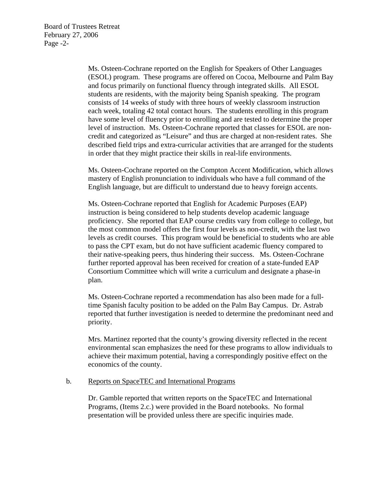Board of Trustees Retreat February 27, 2006 Page -2-

> Ms. Osteen-Cochrane reported on the English for Speakers of Other Languages (ESOL) program. These programs are offered on Cocoa, Melbourne and Palm Bay and focus primarily on functional fluency through integrated skills. All ESOL students are residents, with the majority being Spanish speaking. The program consists of 14 weeks of study with three hours of weekly classroom instruction each week, totaling 42 total contact hours. The students enrolling in this program have some level of fluency prior to enrolling and are tested to determine the proper level of instruction. Ms. Osteen-Cochrane reported that classes for ESOL are noncredit and categorized as "Leisure" and thus are charged at non-resident rates. She described field trips and extra-curricular activities that are arranged for the students in order that they might practice their skills in real-life environments.

> Ms. Osteen-Cochrane reported on the Compton Accent Modification, which allows mastery of English pronunciation to individuals who have a full command of the English language, but are difficult to understand due to heavy foreign accents.

> Ms. Osteen-Cochrane reported that English for Academic Purposes (EAP) instruction is being considered to help students develop academic language proficiency. She reported that EAP course credits vary from college to college, but the most common model offers the first four levels as non-credit, with the last two levels as credit courses. This program would be beneficial to students who are able to pass the CPT exam, but do not have sufficient academic fluency compared to their native-speaking peers, thus hindering their success. Ms. Osteen-Cochrane further reported approval has been received for creation of a state-funded EAP Consortium Committee which will write a curriculum and designate a phase-in plan.

> Ms. Osteen-Cochrane reported a recommendation has also been made for a fulltime Spanish faculty position to be added on the Palm Bay Campus. Dr. Astrab reported that further investigation is needed to determine the predominant need and priority.

> Mrs. Martinez reported that the county's growing diversity reflected in the recent environmental scan emphasizes the need for these programs to allow individuals to achieve their maximum potential, having a correspondingly positive effect on the economics of the county.

#### b. Reports on SpaceTEC and International Programs

Dr. Gamble reported that written reports on the SpaceTEC and International Programs, (Items 2.c.) were provided in the Board notebooks. No formal presentation will be provided unless there are specific inquiries made.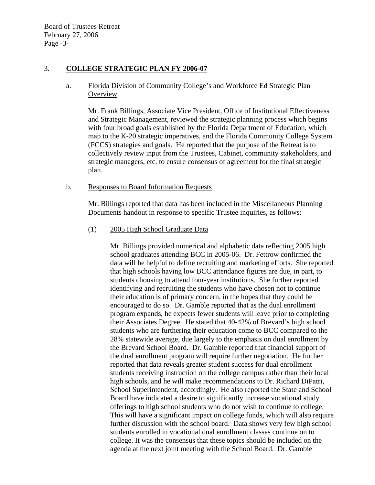Board of Trustees Retreat February 27, 2006 Page -3-

# 3. **COLLEGE STRATEGIC PLAN FY 2006-07**

# a. Florida Division of Community College's and Workforce Ed Strategic Plan **Overview**

Mr. Frank Billings, Associate Vice President, Office of Institutional Effectiveness and Strategic Management, reviewed the strategic planning process which begins with four broad goals established by the Florida Department of Education, which map to the K-20 strategic imperatives, and the Florida Community College System (FCCS) strategies and goals. He reported that the purpose of the Retreat is to collectively review input from the Trustees, Cabinet, community stakeholders, and strategic managers, etc. to ensure consensus of agreement for the final strategic plan.

# b. Responses to Board Information Requests

Mr. Billings reported that data has been included in the Miscellaneous Planning Documents handout in response to specific Trustee inquiries, as follows:

# (1) 2005 High School Graduate Data

Mr. Billings provided numerical and alphabetic data reflecting 2005 high school graduates attending BCC in 2005-06. Dr. Fettrow confirmed the data will be helpful to define recruiting and marketing efforts. She reported that high schools having low BCC attendance figures are due, in part, to students choosing to attend four-year institutions. She further reported identifying and recruiting the students who have chosen not to continue their education is of primary concern, in the hopes that they could be encouraged to do so. Dr. Gamble reported that as the dual enrollment program expands, he expects fewer students will leave prior to completing their Associates Degree. He stated that 40-42% of Brevard's high school students who are furthering their education come to BCC compared to the 28% statewide average, due largely to the emphasis on dual enrollment by the Brevard School Board. Dr. Gamble reported that financial support of the dual enrollment program will require further negotiation. He further reported that data reveals greater student success for dual enrollment students receiving instruction on the college campus rather than their local high schools, and he will make recommendations to Dr. Richard DiPatri, School Superintendent, accordingly. He also reported the State and School Board have indicated a desire to significantly increase vocational study offerings to high school students who do not wish to continue to college. This will have a significant impact on college funds, which will also require further discussion with the school board. Data shows very few high school students enrolled in vocational dual enrollment classes continue on to college. It was the consensus that these topics should be included on the agenda at the next joint meeting with the School Board. Dr. Gamble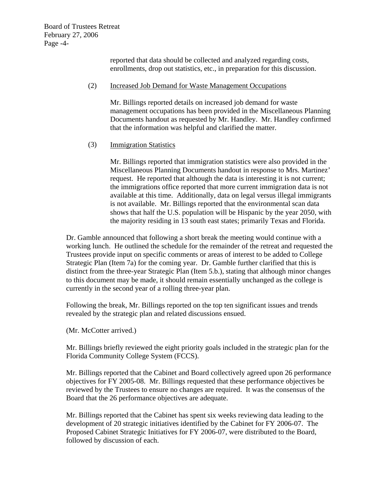Board of Trustees Retreat February 27, 2006 Page -4-

> reported that data should be collected and analyzed regarding costs, enrollments, drop out statistics, etc., in preparation for this discussion.

### (2) Increased Job Demand for Waste Management Occupations

Mr. Billings reported details on increased job demand for waste management occupations has been provided in the Miscellaneous Planning Documents handout as requested by Mr. Handley. Mr. Handley confirmed that the information was helpful and clarified the matter.

# (3) Immigration Statistics

Mr. Billings reported that immigration statistics were also provided in the Miscellaneous Planning Documents handout in response to Mrs. Martinez' request. He reported that although the data is interesting it is not current; the immigrations office reported that more current immigration data is not available at this time. Additionally, data on legal versus illegal immigrants is not available. Mr. Billings reported that the environmental scan data shows that half the U.S. population will be Hispanic by the year 2050, with the majority residing in 13 south east states; primarily Texas and Florida.

Dr. Gamble announced that following a short break the meeting would continue with a working lunch. He outlined the schedule for the remainder of the retreat and requested the Trustees provide input on specific comments or areas of interest to be added to College Strategic Plan (Item 7a) for the coming year. Dr. Gamble further clarified that this is distinct from the three-year Strategic Plan (Item 5.b.), stating that although minor changes to this document may be made, it should remain essentially unchanged as the college is currently in the second year of a rolling three-year plan.

Following the break, Mr. Billings reported on the top ten significant issues and trends revealed by the strategic plan and related discussions ensued.

(Mr. McCotter arrived.)

Mr. Billings briefly reviewed the eight priority goals included in the strategic plan for the Florida Community College System (FCCS).

Mr. Billings reported that the Cabinet and Board collectively agreed upon 26 performance objectives for FY 2005-08. Mr. Billings requested that these performance objectives be reviewed by the Trustees to ensure no changes are required. It was the consensus of the Board that the 26 performance objectives are adequate.

Mr. Billings reported that the Cabinet has spent six weeks reviewing data leading to the development of 20 strategic initiatives identified by the Cabinet for FY 2006-07. The Proposed Cabinet Strategic Initiatives for FY 2006-07, were distributed to the Board, followed by discussion of each.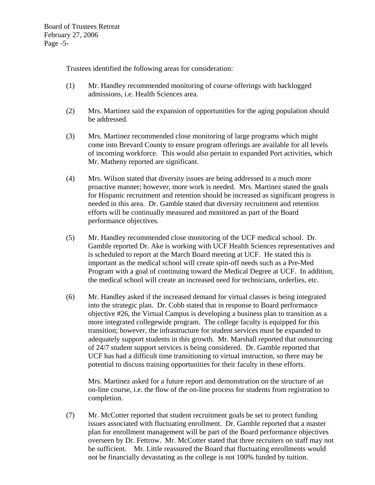Trustees identified the following areas for consideration:

- (1) Mr. Handley recommended monitoring of course offerings with backlogged admissions, i.e. Health Sciences area.
- (2) Mrs. Martinez said the expansion of opportunities for the aging population should be addressed.
- (3) Mrs. Martinez recommended close monitoring of large programs which might come into Brevard County to ensure program offerings are available for all levels of incoming workforce. This would also pertain to expanded Port activities, which Mr. Matheny reported are significant.
- (4) Mrs. Wilson stated that diversity issues are being addressed in a much more proactive manner; however, more work is needed. Mrs. Martinez stated the goals for Hispanic recruitment and retention should be increased as significant progress is needed in this area. Dr. Gamble stated that diversity recruitment and retention efforts will be continually measured and monitored as part of the Board performance objectives.
- (5) Mr. Handley recommended close monitoring of the UCF medical school. Dr. Gamble reported Dr. Ake is working with UCF Health Sciences representatives and is scheduled to report at the March Board meeting at UCF. He stated this is important as the medical school will create spin-off needs such as a Pre-Med Program with a goal of continuing toward the Medical Degree at UCF. In addition, the medical school will create an increased need for technicians, orderlies, etc.
- (6) Mr. Handley asked if the increased demand for virtual classes is being integrated into the strategic plan. Dr. Cobb stated that in response to Board performance objective #26, the Virtual Campus is developing a business plan to transition as a more integrated collegewide program. The college faculty is equipped for this transition; however, the infrastructure for student services must be expanded to adequately support students in this growth. Mr. Marshall reported that outsourcing of 24/7 student support services is being considered. Dr. Gamble reported that UCF has had a difficult time transitioning to virtual instruction, so there may be potential to discuss training opportunities for their faculty in these efforts.

Mrs. Martinez asked for a future report and demonstration on the structure of an on-line course, i.e. the flow of the on-line process for students from registration to completion.

(7) Mr. McCotter reported that student recruitment goals be set to protect funding issues associated with fluctuating enrollment. Dr. Gamble reported that a master plan for enrollment management will be part of the Board performance objectives overseen by Dr. Fettrow. Mr. McCotter stated that three recruiters on staff may not be sufficient. Mr. Little reassured the Board that fluctuating enrollments would not be financially devastating as the college is not 100% funded by tuition.